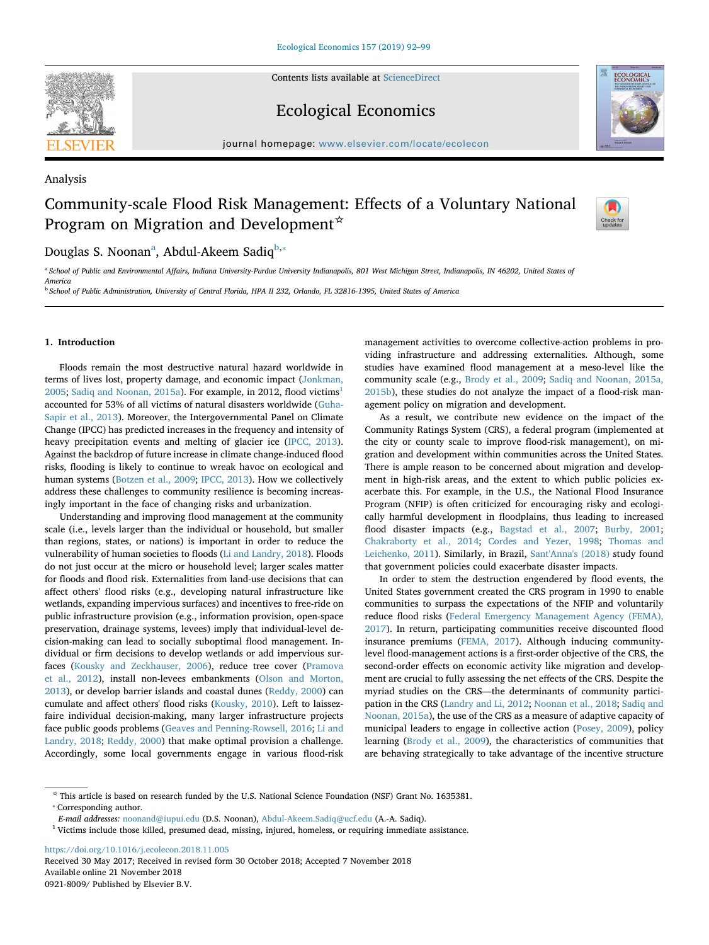Contents lists available at [ScienceDirect](http://www.sciencedirect.com/science/journal/09218009)



Ecological Economics



journal homepage: [www.elsevier.com/locate/ecolecon](https://www.elsevier.com/locate/ecolecon)

Analysis

# Community-scale Flood Risk Management: Effects of a Voluntary National Program on Migration and Development☆



Dougl[a](#page-0-0)s S. Noonan $^{\rm a}$ , Abdul-Akeem Sadiq $^{\rm b, *}$  $^{\rm b, *}$  $^{\rm b, *}$ 

<span id="page-0-0"></span>a School of Public and Environmental Affairs, Indiana University-Purdue University Indianapolis, 801 West Michigan Street, Indianapolis, IN 46202, United States of America

<span id="page-0-1"></span><sup>b</sup> School of Public Administration, University of Central Florida, HPA II 232, Orlando, FL 32816-1395, United States of America

# 1. Introduction

Floods remain the most destructive natural hazard worldwide in terms of lives lost, property damage, and economic impact [\(Jonkman,](#page-7-0) [2005;](#page-7-0) [Sadiq and Noonan, 2015a\)](#page-7-1). For example, in 20[1](#page-0-3)2, flood victims<sup>1</sup> accounted for 53% of all victims of natural disasters worldwide [\(Guha-](#page-7-2)[Sapir et al., 2013](#page-7-2)). Moreover, the Intergovernmental Panel on Climate Change (IPCC) has predicted increases in the frequency and intensity of heavy precipitation events and melting of glacier ice ([IPCC, 2013](#page-7-3)). Against the backdrop of future increase in climate change-induced flood risks, flooding is likely to continue to wreak havoc on ecological and human systems [\(Botzen et al., 2009](#page-7-4); [IPCC, 2013\)](#page-7-3). How we collectively address these challenges to community resilience is becoming increasingly important in the face of changing risks and urbanization.

Understanding and improving flood management at the community scale (i.e., levels larger than the individual or household, but smaller than regions, states, or nations) is important in order to reduce the vulnerability of human societies to floods ([Li and Landry, 2018](#page-7-5)). Floods do not just occur at the micro or household level; larger scales matter for floods and flood risk. Externalities from land-use decisions that can affect others' flood risks (e.g., developing natural infrastructure like wetlands, expanding impervious surfaces) and incentives to free-ride on public infrastructure provision (e.g., information provision, open-space preservation, drainage systems, levees) imply that individual-level decision-making can lead to socially suboptimal flood management. Individual or firm decisions to develop wetlands or add impervious surfaces ([Kousky and Zeckhauser, 2006\)](#page-7-6), reduce tree cover [\(Pramova](#page-7-7) [et al., 2012\)](#page-7-7), install non-levees embankments ([Olson and Morton,](#page-7-8) [2013\)](#page-7-8), or develop barrier islands and coastal dunes ([Reddy, 2000\)](#page-7-9) can cumulate and affect others' flood risks [\(Kousky, 2010](#page-7-10)). Left to laissezfaire individual decision-making, many larger infrastructure projects face public goods problems ([Geaves and Penning-Rowsell, 2016](#page-7-11); [Li and](#page-7-5) [Landry, 2018](#page-7-5); [Reddy, 2000\)](#page-7-9) that make optimal provision a challenge. Accordingly, some local governments engage in various flood-risk

management activities to overcome collective-action problems in providing infrastructure and addressing externalities. Although, some studies have examined flood management at a meso-level like the community scale (e.g., [Brody et al., 2009;](#page-7-12) [Sadiq and Noonan, 2015a,](#page-7-1) [2015b](#page-7-1)), these studies do not analyze the impact of a flood-risk management policy on migration and development.

As a result, we contribute new evidence on the impact of the Community Ratings System (CRS), a federal program (implemented at the city or county scale to improve flood-risk management), on migration and development within communities across the United States. There is ample reason to be concerned about migration and development in high-risk areas, and the extent to which public policies exacerbate this. For example, in the U.S., the National Flood Insurance Program (NFIP) is often criticized for encouraging risky and ecologically harmful development in floodplains, thus leading to increased flood disaster impacts (e.g., [Bagstad et al., 2007](#page-7-13); [Burby, 2001](#page-7-14); [Chakraborty et al., 2014](#page-7-15); [Cordes and Yezer, 1998;](#page-7-16) [Thomas and](#page-7-17) [Leichenko, 2011](#page-7-17)). Similarly, in Brazil, [Sant'Anna's \(2018\)](#page-7-18) study found that government policies could exacerbate disaster impacts.

In order to stem the destruction engendered by flood events, the United States government created the CRS program in 1990 to enable communities to surpass the expectations of the NFIP and voluntarily reduce flood risks ([Federal Emergency Management Agency \(FEMA\),](#page-7-19) [2017\)](#page-7-19). In return, participating communities receive discounted flood insurance premiums [\(FEMA, 2017](#page-7-19)). Although inducing communitylevel flood-management actions is a first-order objective of the CRS, the second-order effects on economic activity like migration and development are crucial to fully assessing the net effects of the CRS. Despite the myriad studies on the CRS—the determinants of community participation in the CRS [\(Landry and Li, 2012](#page-7-20); [Noonan et al., 2018](#page-7-21); [Sadiq and](#page-7-1) [Noonan, 2015a](#page-7-1)), the use of the CRS as a measure of adaptive capacity of municipal leaders to engage in collective action ([Posey, 2009\)](#page-7-22), policy learning ([Brody et al., 2009](#page-7-12)), the characteristics of communities that are behaving strategically to take advantage of the incentive structure

<https://doi.org/10.1016/j.ecolecon.2018.11.005>

Received 30 May 2017; Received in revised form 30 October 2018; Accepted 7 November 2018 Available online 21 November 2018 0921-8009/ Published by Elsevier B.V.

<span id="page-0-2"></span><sup>☆</sup> This article is based on research funded by the U.S. National Science Foundation (NSF) Grant No. 1635381. ⁎ Corresponding author.

E-mail addresses: [noonand@iupui.edu](mailto:noonand@iupui.edu) (D.S. Noonan), [Abdul-Akeem.Sadiq@ucf.edu](mailto:Abdul-Akeem.Sadiq@ucf.edu) (A.-A. Sadiq).

<span id="page-0-3"></span> $1$  Victims include those killed, presumed dead, missing, injured, homeless, or requiring immediate assistance.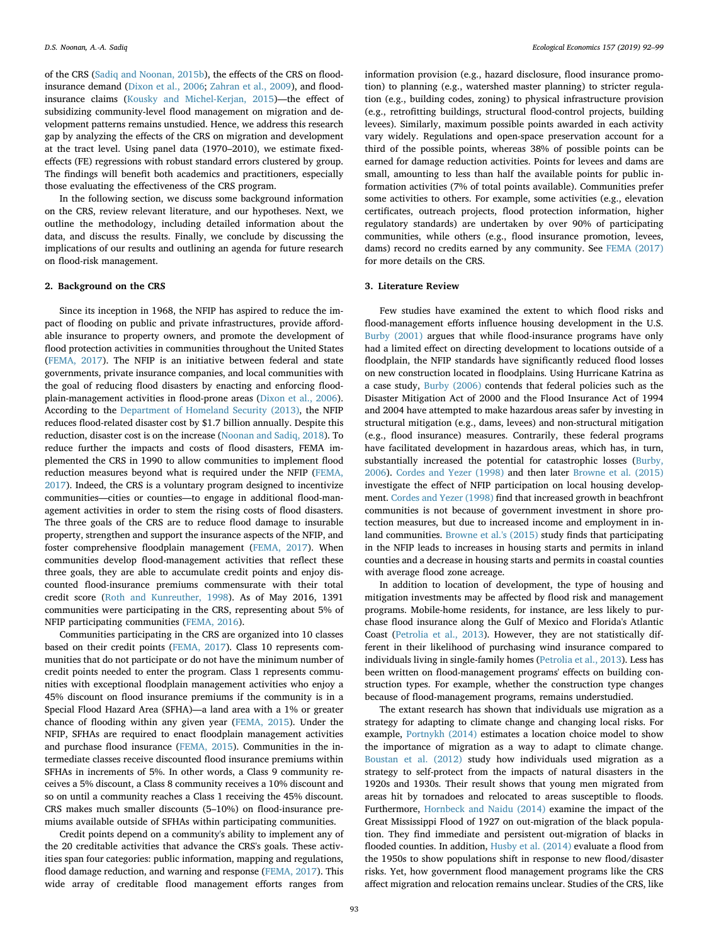of the CRS ([Sadiq and Noonan, 2015b\)](#page-7-23), the effects of the CRS on floodinsurance demand ([Dixon et al., 2006;](#page-7-24) [Zahran et al., 2009\)](#page-7-25), and floodinsurance claims ([Kousky and Michel-Kerjan, 2015](#page-7-26))—the effect of subsidizing community-level flood management on migration and development patterns remains unstudied. Hence, we address this research gap by analyzing the effects of the CRS on migration and development at the tract level. Using panel data (1970–2010), we estimate fixedeffects (FE) regressions with robust standard errors clustered by group. The findings will benefit both academics and practitioners, especially those evaluating the effectiveness of the CRS program.

In the following section, we discuss some background information on the CRS, review relevant literature, and our hypotheses. Next, we outline the methodology, including detailed information about the data, and discuss the results. Finally, we conclude by discussing the implications of our results and outlining an agenda for future research on flood-risk management.

## 2. Background on the CRS

Since its inception in 1968, the NFIP has aspired to reduce the impact of flooding on public and private infrastructures, provide affordable insurance to property owners, and promote the development of flood protection activities in communities throughout the United States ([FEMA, 2017](#page-7-19)). The NFIP is an initiative between federal and state governments, private insurance companies, and local communities with the goal of reducing flood disasters by enacting and enforcing floodplain-management activities in flood-prone areas ([Dixon et al., 2006](#page-7-24)). According to the [Department of Homeland Security \(2013\),](#page-7-27) the NFIP reduces flood-related disaster cost by \$1.7 billion annually. Despite this reduction, disaster cost is on the increase [\(Noonan and Sadiq, 2018](#page-7-28)). To reduce further the impacts and costs of flood disasters, FEMA implemented the CRS in 1990 to allow communities to implement flood reduction measures beyond what is required under the NFIP [\(FEMA,](#page-7-19) [2017\)](#page-7-19). Indeed, the CRS is a voluntary program designed to incentivize communities—cities or counties—to engage in additional flood-management activities in order to stem the rising costs of flood disasters. The three goals of the CRS are to reduce flood damage to insurable property, strengthen and support the insurance aspects of the NFIP, and foster comprehensive floodplain management ([FEMA, 2017\)](#page-7-19). When communities develop flood-management activities that reflect these three goals, they are able to accumulate credit points and enjoy discounted flood-insurance premiums commensurate with their total credit score [\(Roth and Kunreuther, 1998\)](#page-7-29). As of May 2016, 1391 communities were participating in the CRS, representing about 5% of NFIP participating communities [\(FEMA, 2016\)](#page-7-30).

Communities participating in the CRS are organized into 10 classes based on their credit points [\(FEMA, 2017\)](#page-7-19). Class 10 represents communities that do not participate or do not have the minimum number of credit points needed to enter the program. Class 1 represents communities with exceptional floodplain management activities who enjoy a 45% discount on flood insurance premiums if the community is in a Special Flood Hazard Area (SFHA)—a land area with a 1% or greater chance of flooding within any given year ([FEMA, 2015](#page-7-31)). Under the NFIP, SFHAs are required to enact floodplain management activities and purchase flood insurance ([FEMA, 2015\)](#page-7-31). Communities in the intermediate classes receive discounted flood insurance premiums within SFHAs in increments of 5%. In other words, a Class 9 community receives a 5% discount, a Class 8 community receives a 10% discount and so on until a community reaches a Class 1 receiving the 45% discount. CRS makes much smaller discounts (5–10%) on flood-insurance premiums available outside of SFHAs within participating communities.

Credit points depend on a community's ability to implement any of the 20 creditable activities that advance the CRS's goals. These activities span four categories: public information, mapping and regulations, flood damage reduction, and warning and response ([FEMA, 2017](#page-7-19)). This wide array of creditable flood management efforts ranges from information provision (e.g., hazard disclosure, flood insurance promotion) to planning (e.g., watershed master planning) to stricter regulation (e.g., building codes, zoning) to physical infrastructure provision (e.g., retrofitting buildings, structural flood-control projects, building levees). Similarly, maximum possible points awarded in each activity vary widely. Regulations and open-space preservation account for a third of the possible points, whereas 38% of possible points can be earned for damage reduction activities. Points for levees and dams are small, amounting to less than half the available points for public information activities (7% of total points available). Communities prefer some activities to others. For example, some activities (e.g., elevation certificates, outreach projects, flood protection information, higher regulatory standards) are undertaken by over 90% of participating communities, while others (e.g., flood insurance promotion, levees, dams) record no credits earned by any community. See [FEMA \(2017\)](#page-7-19) for more details on the CRS.

## 3. Literature Review

Few studies have examined the extent to which flood risks and flood-management efforts influence housing development in the U.S. [Burby \(2001\)](#page-7-14) argues that while flood-insurance programs have only had a limited effect on directing development to locations outside of a floodplain, the NFIP standards have significantly reduced flood losses on new construction located in floodplains. Using Hurricane Katrina as a case study, [Burby \(2006\)](#page-7-32) contends that federal policies such as the Disaster Mitigation Act of 2000 and the Flood Insurance Act of 1994 and 2004 have attempted to make hazardous areas safer by investing in structural mitigation (e.g., dams, levees) and non-structural mitigation (e.g., flood insurance) measures. Contrarily, these federal programs have facilitated development in hazardous areas, which has, in turn, substantially increased the potential for catastrophic losses [\(Burby,](#page-7-32) [2006\)](#page-7-32). [Cordes and Yezer \(1998\)](#page-7-16) and then later [Browne et al. \(2015\)](#page-7-33) investigate the effect of NFIP participation on local housing development. [Cordes and Yezer \(1998\)](#page-7-16) find that increased growth in beachfront communities is not because of government investment in shore protection measures, but due to increased income and employment in inland communities. [Browne et al.'s \(2015\)](#page-7-33) study finds that participating in the NFIP leads to increases in housing starts and permits in inland counties and a decrease in housing starts and permits in coastal counties with average flood zone acreage.

In addition to location of development, the type of housing and mitigation investments may be affected by flood risk and management programs. Mobile-home residents, for instance, are less likely to purchase flood insurance along the Gulf of Mexico and Florida's Atlantic Coast ([Petrolia et al., 2013](#page-7-34)). However, they are not statistically different in their likelihood of purchasing wind insurance compared to individuals living in single-family homes ([Petrolia et al., 2013](#page-7-34)). Less has been written on flood-management programs' effects on building construction types. For example, whether the construction type changes because of flood-management programs, remains understudied.

The extant research has shown that individuals use migration as a strategy for adapting to climate change and changing local risks. For example, [Portnykh \(2014\)](#page-7-35) estimates a location choice model to show the importance of migration as a way to adapt to climate change. [Boustan et](#page-7-36) al. (2012) study how individuals used migration as a strategy to self-protect from the impacts of natural disasters in the 1920s and 1930s. Their result shows that young men migrated from areas hit by tornadoes and relocated to areas susceptible to floods. Furthermore, [Hornbeck and Naidu \(2014\)](#page-7-37) examine the impact of the Great Mississippi Flood of 1927 on out-migration of the black population. They find immediate and persistent out-migration of blacks in flooded counties. In addition, [Husby et al. \(2014\)](#page-7-38) evaluate a flood from the 1950s to show populations shift in response to new flood/disaster risks. Yet, how government flood management programs like the CRS affect migration and relocation remains unclear. Studies of the CRS, like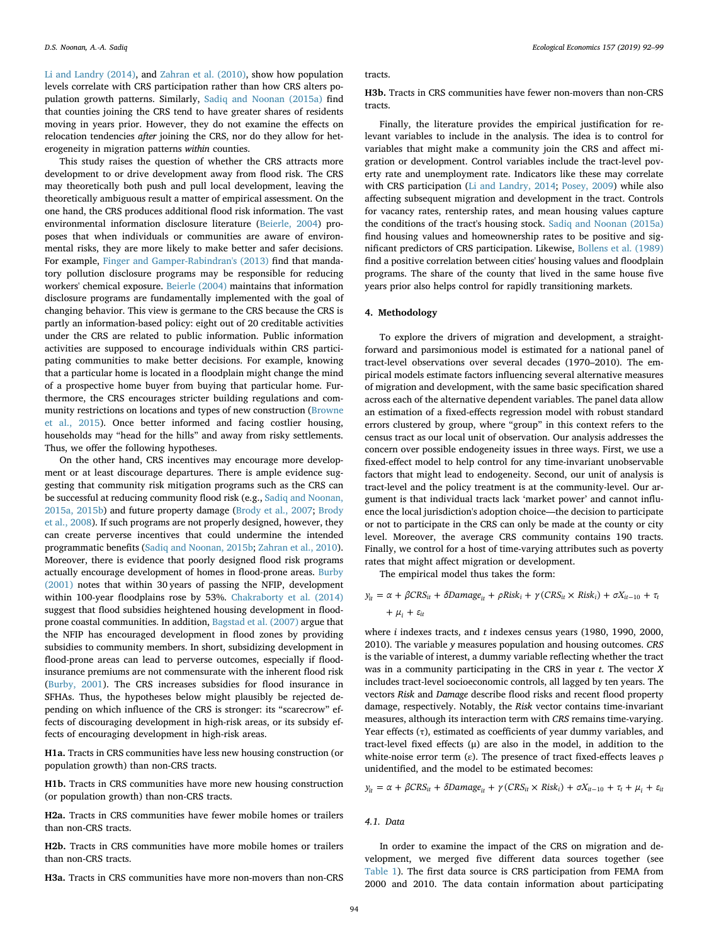[Li and Landry \(2014\),](#page-7-39) and [Zahran et al. \(2010\),](#page-7-40) show how population levels correlate with CRS participation rather than how CRS alters population growth patterns. Similarly, [Sadiq and Noonan \(2015a\)](#page-7-1) find that counties joining the CRS tend to have greater shares of residents moving in years prior. However, they do not examine the effects on relocation tendencies after joining the CRS, nor do they allow for heterogeneity in migration patterns within counties.

This study raises the question of whether the CRS attracts more development to or drive development away from flood risk. The CRS may theoretically both push and pull local development, leaving the theoretically ambiguous result a matter of empirical assessment. On the one hand, the CRS produces additional flood risk information. The vast environmental information disclosure literature [\(Beierle, 2004](#page-7-41)) proposes that when individuals or communities are aware of environmental risks, they are more likely to make better and safer decisions. For example, [Finger and Gamper-Rabindran's \(2013\)](#page-7-42) find that mandatory pollution disclosure programs may be responsible for reducing workers' chemical exposure. [Beierle \(2004\)](#page-7-41) maintains that information disclosure programs are fundamentally implemented with the goal of changing behavior. This view is germane to the CRS because the CRS is partly an information-based policy: eight out of 20 creditable activities under the CRS are related to public information. Public information activities are supposed to encourage individuals within CRS participating communities to make better decisions. For example, knowing that a particular home is located in a floodplain might change the mind of a prospective home buyer from buying that particular home. Furthermore, the CRS encourages stricter building regulations and community restrictions on locations and types of new construction ([Browne](#page-7-33) [et al., 2015](#page-7-33)). Once better informed and facing costlier housing, households may "head for the hills" and away from risky settlements. Thus, we offer the following hypotheses.

On the other hand, CRS incentives may encourage more development or at least discourage departures. There is ample evidence suggesting that community risk mitigation programs such as the CRS can be successful at reducing community flood risk (e.g., [Sadiq and Noonan,](#page-7-1) [2015a, 2015b\)](#page-7-1) and future property damage [\(Brody et al., 2007;](#page-7-43) [Brody](#page-7-44) [et al., 2008](#page-7-44)). If such programs are not properly designed, however, they can create perverse incentives that could undermine the intended programmatic benefits ([Sadiq and Noonan, 2015b;](#page-7-23) [Zahran et al., 2010](#page-7-40)). Moreover, there is evidence that poorly designed flood risk programs actually encourage development of homes in flood-prone areas. [Burby](#page-7-14) [\(2001\)](#page-7-14) notes that within 30 years of passing the NFIP, development within 100-year floodplains rose by 53%. [Chakraborty et al. \(2014\)](#page-7-15) suggest that flood subsidies heightened housing development in floodprone coastal communities. In addition, [Bagstad et al. \(2007\)](#page-7-13) argue that the NFIP has encouraged development in flood zones by providing subsidies to community members. In short, subsidizing development in flood-prone areas can lead to perverse outcomes, especially if floodinsurance premiums are not commensurate with the inherent flood risk ([Burby, 2001](#page-7-14)). The CRS increases subsidies for flood insurance in SFHAs. Thus, the hypotheses below might plausibly be rejected depending on which influence of the CRS is stronger: its "scarecrow" effects of discouraging development in high-risk areas, or its subsidy effects of encouraging development in high-risk areas.

<span id="page-2-0"></span>H1a. Tracts in CRS communities have less new housing construction (or population growth) than non-CRS tracts.

H1b. Tracts in CRS communities have more new housing construction (or population growth) than non-CRS tracts.

<span id="page-2-1"></span>H2a. Tracts in CRS communities have fewer mobile homes or trailers than non-CRS tracts.

H2b. Tracts in CRS communities have more mobile homes or trailers than non-CRS tracts.

<span id="page-2-2"></span>H3a. Tracts in CRS communities have more non-movers than non-CRS

tracts.

H3b. Tracts in CRS communities have fewer non-movers than non-CRS tracts.

Finally, the literature provides the empirical justification for relevant variables to include in the analysis. The idea is to control for variables that might make a community join the CRS and affect migration or development. Control variables include the tract-level poverty rate and unemployment rate. Indicators like these may correlate with CRS participation ([Li and Landry, 2014](#page-7-39); [Posey, 2009](#page-7-22)) while also affecting subsequent migration and development in the tract. Controls for vacancy rates, rentership rates, and mean housing values capture the conditions of the tract's housing stock. [Sadiq and Noonan \(2015a\)](#page-7-1) find housing values and homeownership rates to be positive and significant predictors of CRS participation. Likewise, [Bollens et al. \(1989\)](#page-7-45) find a positive correlation between cities' housing values and floodplain programs. The share of the county that lived in the same house five years prior also helps control for rapidly transitioning markets.

## 4. Methodology

To explore the drivers of migration and development, a straightforward and parsimonious model is estimated for a national panel of tract-level observations over several decades (1970–2010). The empirical models estimate factors influencing several alternative measures of migration and development, with the same basic specification shared across each of the alternative dependent variables. The panel data allow an estimation of a fixed-effects regression model with robust standard errors clustered by group, where "group" in this context refers to the census tract as our local unit of observation. Our analysis addresses the concern over possible endogeneity issues in three ways. First, we use a fixed-effect model to help control for any time-invariant unobservable factors that might lead to endogeneity. Second, our unit of analysis is tract-level and the policy treatment is at the community-level. Our argument is that individual tracts lack 'market power' and cannot influence the local jurisdiction's adoption choice—the decision to participate or not to participate in the CRS can only be made at the county or city level. Moreover, the average CRS community contains 190 tracts. Finally, we control for a host of time-varying attributes such as poverty rates that might affect migration or development.

The empirical model thus takes the form:

$$
y_{it} = \alpha + \beta CRS_{it} + \delta Damage_{it} + \rho Risk_i + \gamma (CRS_{it} \times Risk_i) + \sigma X_{it-10} + \tau_t
$$
  
+  $\mu_i + \varepsilon_{it}$ 

where i indexes tracts, and t indexes census years (1980, 1990, 2000, 2010). The variable y measures population and housing outcomes. CRS is the variable of interest, a dummy variable reflecting whether the tract was in a community participating in the CRS in year  $t$ . The vector  $X$ includes tract-level socioeconomic controls, all lagged by ten years. The vectors Risk and Damage describe flood risks and recent flood property damage, respectively. Notably, the Risk vector contains time-invariant measures, although its interaction term with CRS remains time-varying. Year effects  $(\tau)$ , estimated as coefficients of year dummy variables, and tract-level fixed effects (μ) are also in the model, in addition to the white-noise error term (ε). The presence of tract fixed-effects leaves  $ρ$ unidentified, and the model to be estimated becomes:

 $y_{it} = \alpha + \beta CRS_{it} + \delta$ Damage<sub>it</sub> +  $\gamma$  ( $CRS_{it} \times Risk_i$ ) +  $\sigma X_{it-10} + \tau_t + \mu_i + \varepsilon_{it}$ 

4.1 Data

In order to examine the impact of the CRS on migration and development, we merged five different data sources together (see [Table 1\)](#page-3-0). The first data source is CRS participation from FEMA from 2000 and 2010. The data contain information about participating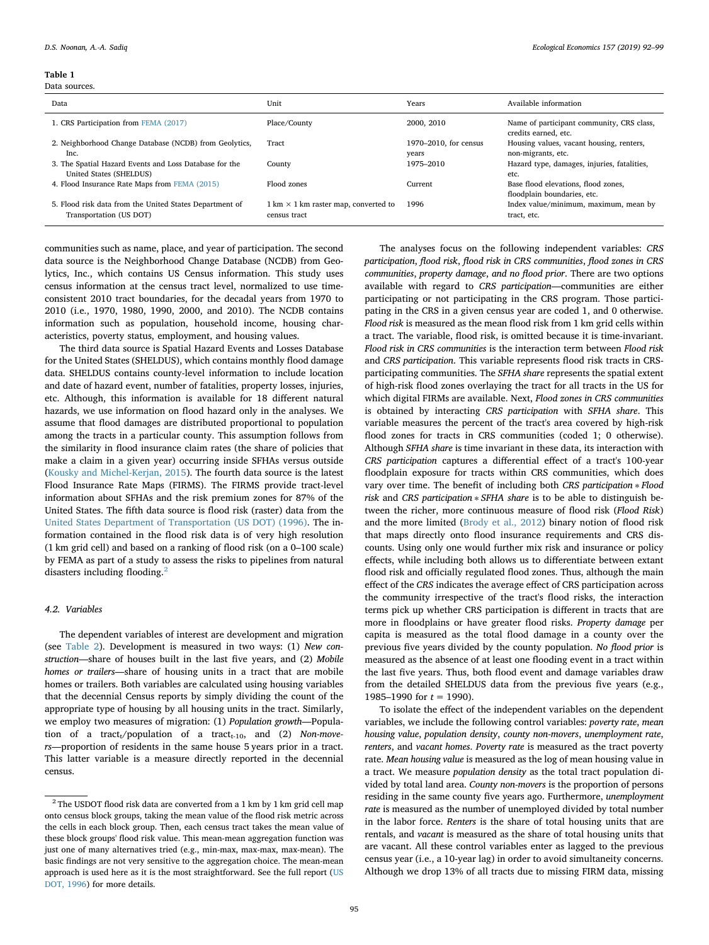#### <span id="page-3-0"></span>Table 1

| ,                                                                                  |                                                                             |                                |                                                                    |
|------------------------------------------------------------------------------------|-----------------------------------------------------------------------------|--------------------------------|--------------------------------------------------------------------|
| Data                                                                               | Unit                                                                        | Years                          | Available information                                              |
| 1. CRS Participation from FEMA (2017)                                              | Place/County                                                                | 2000, 2010                     | Name of participant community, CRS class,<br>credits earned, etc.  |
| 2. Neighborhood Change Database (NCDB) from Geolytics,<br>Inc.                     | Tract                                                                       | 1970–2010, for census<br>years | Housing values, vacant housing, renters,<br>non-migrants, etc.     |
| 3. The Spatial Hazard Events and Loss Database for the<br>United States (SHELDUS)  | County                                                                      | 1975-2010                      | Hazard type, damages, injuries, fatalities,<br>etc.                |
| 4. Flood Insurance Rate Maps from FEMA (2015)                                      | Flood zones                                                                 | Current                        | Base flood elevations, flood zones,<br>floodplain boundaries, etc. |
| 5. Flood risk data from the United States Department of<br>Transportation (US DOT) | $1 \text{ km} \times 1 \text{ km}$ raster map, converted to<br>census tract | 1996                           | Index value/minimum, maximum, mean by<br>tract, etc.               |

communities such as name, place, and year of participation. The second data source is the Neighborhood Change Database (NCDB) from Geolytics, Inc., which contains US Census information. This study uses census information at the census tract level, normalized to use timeconsistent 2010 tract boundaries, for the decadal years from 1970 to 2010 (i.e., 1970, 1980, 1990, 2000, and 2010). The NCDB contains information such as population, household income, housing characteristics, poverty status, employment, and housing values.

The third data source is Spatial Hazard Events and Losses Database for the United States (SHELDUS), which contains monthly flood damage data. SHELDUS contains county-level information to include location and date of hazard event, number of fatalities, property losses, injuries, etc. Although, this information is available for 18 different natural hazards, we use information on flood hazard only in the analyses. We assume that flood damages are distributed proportional to population among the tracts in a particular county. This assumption follows from the similarity in flood insurance claim rates (the share of policies that make a claim in a given year) occurring inside SFHAs versus outside ([Kousky and Michel-Kerjan, 2015\)](#page-7-26). The fourth data source is the latest Flood Insurance Rate Maps (FIRMS). The FIRMS provide tract-level information about SFHAs and the risk premium zones for 87% of the United States. The fifth data source is flood risk (raster) data from the [United States Department of Transportation \(US DOT\) \(1996\)](#page-7-46). The information contained in the flood risk data is of very high resolution (1 km grid cell) and based on a ranking of flood risk (on a 0–100 scale) by FEMA as part of a study to assess the risks to pipelines from natural disasters including flooding. $<sup>2</sup>$  $<sup>2</sup>$  $<sup>2</sup>$ </sup>

## 4.2. Variables

The dependent variables of interest are development and migration (see [Table 2](#page-4-0)). Development is measured in two ways: (1) New construction—share of houses built in the last five years, and (2) Mobile homes or trailers—share of housing units in a tract that are mobile homes or trailers. Both variables are calculated using housing variables that the decennial Census reports by simply dividing the count of the appropriate type of housing by all housing units in the tract. Similarly, we employ two measures of migration: (1) Population growth—Population of a tract<sub>t</sub>/population of a tract<sub>t-10</sub>, and (2) Non-movers—proportion of residents in the same house 5 years prior in a tract. This latter variable is a measure directly reported in the decennial census.

The analyses focus on the following independent variables: CRS participation, flood risk, flood risk in CRS communities, flood zones in CRS communities, property damage, and no flood prior. There are two options available with regard to CRS participation—communities are either participating or not participating in the CRS program. Those participating in the CRS in a given census year are coded 1, and 0 otherwise. Flood risk is measured as the mean flood risk from 1 km grid cells within a tract. The variable, flood risk, is omitted because it is time-invariant. Flood risk in CRS communities is the interaction term between Flood risk and CRS participation. This variable represents flood risk tracts in CRSparticipating communities. The SFHA share represents the spatial extent of high-risk flood zones overlaying the tract for all tracts in the US for which digital FIRMs are available. Next, Flood zones in CRS communities is obtained by interacting CRS participation with SFHA share. This variable measures the percent of the tract's area covered by high-risk flood zones for tracts in CRS communities (coded 1; 0 otherwise). Although SFHA share is time invariant in these data, its interaction with CRS participation captures a differential effect of a tract's 100-year floodplain exposure for tracts within CRS communities, which does vary over time. The benefit of including both CRS participation ∗ Flood risk and CRS participation ∗ SFHA share is to be able to distinguish between the richer, more continuous measure of flood risk (Flood Risk) and the more limited ([Brody et al., 2012](#page-7-47)) binary notion of flood risk that maps directly onto flood insurance requirements and CRS discounts. Using only one would further mix risk and insurance or policy effects, while including both allows us to differentiate between extant flood risk and officially regulated flood zones. Thus, although the main effect of the CRS indicates the average effect of CRS participation across the community irrespective of the tract's flood risks, the interaction terms pick up whether CRS participation is different in tracts that are more in floodplains or have greater flood risks. Property damage per capita is measured as the total flood damage in a county over the previous five years divided by the county population. No flood prior is measured as the absence of at least one flooding event in a tract within the last five years. Thus, both flood event and damage variables draw from the detailed SHELDUS data from the previous five years (e.g., 1985–1990 for  $t = 1990$ ).

To isolate the effect of the independent variables on the dependent variables, we include the following control variables: poverty rate, mean housing value, population density, county non-movers, unemployment rate, renters, and vacant homes. Poverty rate is measured as the tract poverty rate. Mean housing value is measured as the log of mean housing value in a tract. We measure population density as the total tract population divided by total land area. County non-movers is the proportion of persons residing in the same county five years ago. Furthermore, unemployment rate is measured as the number of unemployed divided by total number in the labor force. Renters is the share of total housing units that are rentals, and vacant is measured as the share of total housing units that are vacant. All these control variables enter as lagged to the previous census year (i.e., a 10-year lag) in order to avoid simultaneity concerns. Although we drop 13% of all tracts due to missing FIRM data, missing

<span id="page-3-1"></span> $^2$  The USDOT flood risk data are converted from a 1 km by 1 km grid cell map onto census block groups, taking the mean value of the flood risk metric across the cells in each block group. Then, each census tract takes the mean value of these block groups' flood risk value. This mean-mean aggregation function was just one of many alternatives tried (e.g., min-max, max-max, max-mean). The basic findings are not very sensitive to the aggregation choice. The mean-mean approach is used here as it is the most straightforward. See the full report ([US](#page-7-46) [DOT, 1996\)](#page-7-46) for more details.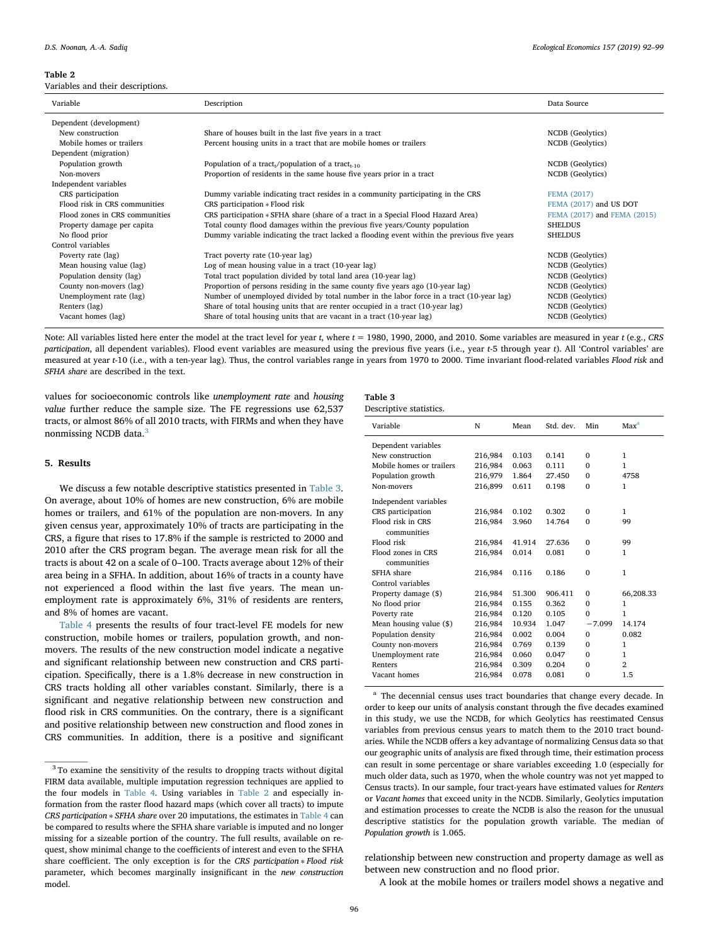#### <span id="page-4-0"></span>Table 2

Variables and their descriptions.

| Variable                       | Description                                                                                | Data Source                 |
|--------------------------------|--------------------------------------------------------------------------------------------|-----------------------------|
| Dependent (development)        |                                                                                            |                             |
| New construction               | Share of houses built in the last five years in a tract                                    | NCDB (Geolytics)            |
| Mobile homes or trailers       | Percent housing units in a tract that are mobile homes or trailers                         | NCDB (Geolytics)            |
| Dependent (migration)          |                                                                                            |                             |
| Population growth              | Population of a tract <sub>t</sub> /population of a tract <sub>t-10</sub>                  | NCDB (Geolytics)            |
| Non-movers                     | Proportion of residents in the same house five years prior in a tract                      | NCDB (Geolytics)            |
| Independent variables          |                                                                                            |                             |
| CRS participation              | Dummy variable indicating tract resides in a community participating in the CRS            | <b>FEMA (2017)</b>          |
| Flood risk in CRS communities  | CRS participation * Flood risk                                                             | FEMA (2017) and US DOT      |
| Flood zones in CRS communities | CRS participation * SFHA share (share of a tract in a Special Flood Hazard Area)           | FEMA (2017) and FEMA (2015) |
| Property damage per capita     | Total county flood damages within the previous five years/County population                | <b>SHELDUS</b>              |
| No flood prior                 | Dummy variable indicating the tract lacked a flooding event within the previous five years | <b>SHELDUS</b>              |
| Control variables              |                                                                                            |                             |
| Poverty rate (lag)             | Tract poverty rate (10-year lag)                                                           | NCDB (Geolytics)            |
| Mean housing value (lag)       | Log of mean housing value in a tract (10-year lag)                                         | NCDB (Geolytics)            |
| Population density (lag)       | Total tract population divided by total land area (10-year lag)                            | NCDB (Geolytics)            |
| County non-movers (lag)        | Proportion of persons residing in the same county five years ago (10-year lag)             | NCDB (Geolytics)            |
| Unemployment rate (lag)        | Number of unemployed divided by total number in the labor force in a tract (10-year lag)   | NCDB (Geolytics)            |
| Renters (lag)                  | Share of total housing units that are renter occupied in a tract (10-year lag)             | NCDB (Geolytics)            |
| Vacant homes (lag)             | Share of total housing units that are vacant in a tract (10-year lag)                      | NCDB (Geolytics)            |

Note: All variables listed here enter the model at the tract level for year t, where  $t = 1980, 1990, 2000,$  and 2010. Some variables are measured in year t (e.g., CRS participation, all dependent variables). Flood event variables are measured using the previous five years (i.e., year t-5 through year t). All 'Control variables' are measured at year t-10 (i.e., with a ten-year lag). Thus, the control variables range in years from 1970 to 2000. Time invariant flood-related variables Flood risk and SFHA share are described in the text.

values for socioeconomic controls like unemployment rate and housing value further reduce the sample size. The FE regressions use 62,537 tracts, or almost 86% of all 2010 tracts, with FIRMs and when they have nonmissing NCDB data.[3](#page-4-1)

## 5. Results

We discuss a few notable descriptive statistics presented in [Table 3](#page-4-2). On average, about 10% of homes are new construction, 6% are mobile homes or trailers, and 61% of the population are non-movers. In any given census year, approximately 10% of tracts are participating in the CRS, a figure that rises to 17.8% if the sample is restricted to 2000 and 2010 after the CRS program began. The average mean risk for all the tracts is about 42 on a scale of 0–100. Tracts average about 12% of their area being in a SFHA. In addition, about 16% of tracts in a county have not experienced a flood within the last five years. The mean unemployment rate is approximately 6%, 31% of residents are renters, and 8% of homes are vacant.

[Table 4](#page-5-0) presents the results of four tract-level FE models for new construction, mobile homes or trailers, population growth, and nonmovers. The results of the new construction model indicate a negative and significant relationship between new construction and CRS participation. Specifically, there is a 1.8% decrease in new construction in CRS tracts holding all other variables constant. Similarly, there is a significant and negative relationship between new construction and flood risk in CRS communities. On the contrary, there is a significant and positive relationship between new construction and flood zones in CRS communities. In addition, there is a positive and significant

| гаріе з                |  |
|------------------------|--|
| Descriptive statistics |  |

<span id="page-4-2"></span> $T = 3$ 

| Variable                 | N       | Mean   | Std. dev. | Min      | Max <sup>a</sup> |
|--------------------------|---------|--------|-----------|----------|------------------|
| Dependent variables      |         |        |           |          |                  |
| New construction         | 216,984 | 0.103  | 0.141     | $\Omega$ | $\mathbf{1}$     |
| Mobile homes or trailers | 216,984 | 0.063  | 0.111     | $\Omega$ | 1                |
| Population growth        | 216,979 | 1.864  | 27.450    | $\Omega$ | 4758             |
| Non-movers               | 216,899 | 0.611  | 0.198     | $\Omega$ | 1                |
| Independent variables    |         |        |           |          |                  |
| CRS participation        | 216,984 | 0.102  | 0.302     | $\Omega$ | 1                |
| Flood risk in CRS        | 216,984 | 3.960  | 14.764    | $\Omega$ | 99               |
| communities              |         |        |           |          |                  |
| Flood risk               | 216,984 | 41.914 | 27.636    | $\Omega$ | 99               |
| Flood zones in CRS       | 216,984 | 0.014  | 0.081     | $\Omega$ | 1                |
| communities              |         |        |           |          |                  |
| SFHA share               | 216,984 | 0.116  | 0.186     | $\Omega$ | 1                |
| Control variables        |         |        |           |          |                  |
| Property damage (\$)     | 216,984 | 51.300 | 906.411   | $\Omega$ | 66,208.33        |
| No flood prior           | 216,984 | 0.155  | 0.362     | $\Omega$ | 1                |
| Poverty rate             | 216,984 | 0.120  | 0.105     | $\Omega$ | 1                |
| Mean housing value (\$)  | 216,984 | 10.934 | 1.047     | $-7.099$ | 14.174           |
| Population density       | 216,984 | 0.002  | 0.004     | $\Omega$ | 0.082            |
| County non-movers        | 216,984 | 0.769  | 0.139     | $\Omega$ | $\mathbf{1}$     |
| Unemployment rate        | 216,984 | 0.060  | 0.047     | $\Omega$ | 1                |
| Renters                  | 216,984 | 0.309  | 0.204     | $\Omega$ | $\mathbf{2}$     |
| Vacant homes             | 216,984 | 0.078  | 0.081     | $\Omega$ | 1.5              |

<span id="page-4-3"></span><sup>a</sup> The decennial census uses tract boundaries that change every decade. In order to keep our units of analysis constant through the five decades examined in this study, we use the NCDB, for which Geolytics has reestimated Census variables from previous census years to match them to the 2010 tract boundaries. While the NCDB offers a key advantage of normalizing Census data so that our geographic units of analysis are fixed through time, their estimation process can result in some percentage or share variables exceeding 1.0 (especially for much older data, such as 1970, when the whole country was not yet mapped to Census tracts). In our sample, four tract-years have estimated values for Renters or Vacant homes that exceed unity in the NCDB. Similarly, Geolytics imputation and estimation processes to create the NCDB is also the reason for the unusual descriptive statistics for the population growth variable. The median of Population growth is 1.065.

relationship between new construction and property damage as well as between new construction and no flood prior.

A look at the mobile homes or trailers model shows a negative and

<span id="page-4-1"></span><sup>&</sup>lt;sup>3</sup> To examine the sensitivity of the results to dropping tracts without digital FIRM data available, multiple imputation regression techniques are applied to the four models in [Table 4](#page-5-0). Using variables in [Table 2](#page-4-0) and especially information from the raster flood hazard maps (which cover all tracts) to impute CRS participation ∗ SFHA share over 20 imputations, the estimates in [Table 4](#page-5-0) can be compared to results where the SFHA share variable is imputed and no longer missing for a sizeable portion of the country. The full results, available on request, show minimal change to the coefficients of interest and even to the SFHA share coefficient. The only exception is for the CRS participation ∗ Flood risk parameter, which becomes marginally insignificant in the new construction model.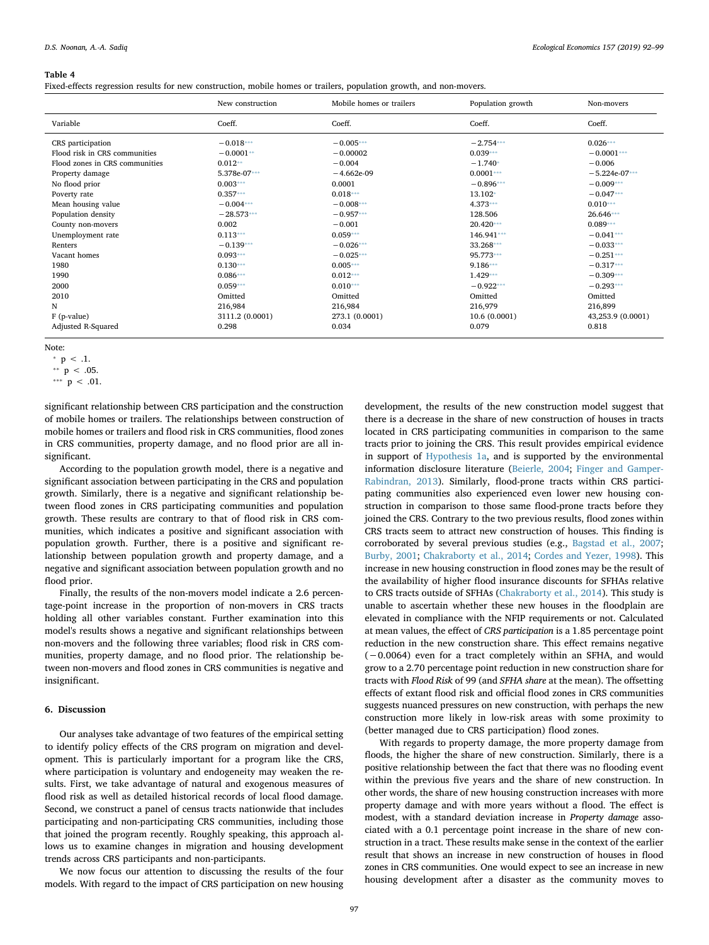#### <span id="page-5-0"></span>Table 4

Fixed-effects regression results for new construction, mobile homes or trailers, population growth, and non-movers.

|                                | New construction | Mobile homes or trailers | Population growth | Non-movers        |
|--------------------------------|------------------|--------------------------|-------------------|-------------------|
| Variable                       | Coeff.           | Coeff.                   | Coeff.            | Coeff.            |
| CRS participation              | $-0.018***$      | $-0.005***$              | $-2.754***$       | $0.026***$        |
| Flood risk in CRS communities  | $-0.0001**$      | $-0.00002$               | $0.039***$        | $-0.0001***$      |
| Flood zones in CRS communities | $0.012**$        | $-0.004$                 | $-1.740*$         | $-0.006$          |
| Property damage                | 5.378e-07***     | $-4.662e-09$             | $0.0001***$       | $-5.224e-07***$   |
| No flood prior                 | $0.003***$       | 0.0001                   | $-0.896***$       | $-0.009***$       |
| Poverty rate                   | $0.357***$       | $0.018***$               | 13.102*           | $-0.047***$       |
| Mean housing value             | $-0.004***$      | $-0.008***$              | $4.373***$        | $0.010***$        |
| Population density             | $-28.573***$     | $-0.957***$              | 128.506           | 26.646***         |
| County non-movers              | 0.002            | $-0.001$                 | $20.420***$       | $0.089***$        |
| Unemployment rate              | $0.113***$       | $0.059***$               | 146.941***        | $-0.041***$       |
| Renters                        | $-0.139***$      | $-0.026***$              | $33.268***$       | $-0.033***$       |
| Vacant homes                   | $0.093***$       | $-0.025***$              | 95.773***         | $-0.251***$       |
| 1980                           | $0.130***$       | $0.005***$               | $9.186***$        | $-0.317***$       |
| 1990                           | $0.086***$       | $0.012***$               | $1.429***$        | $-0.309***$       |
| 2000                           | $0.059***$       | $0.010***$               | $-0.922***$       | $-0.293***$       |
| 2010                           | Omitted          | Omitted                  | Omitted           | Omitted           |
| N                              | 216,984          | 216,984                  | 216,979           | 216,899           |
| $F$ (p-value)                  | 3111.2 (0.0001)  | 273.1 (0.0001)           | 10.6(0.0001)      | 43,253.9 (0.0001) |
| Adjusted R-Squared             | 0.298            | 0.034                    | 0.079             | 0.818             |

Note:

significant relationship between CRS participation and the construction of mobile homes or trailers. The relationships between construction of mobile homes or trailers and flood risk in CRS communities, flood zones in CRS communities, property damage, and no flood prior are all insignificant.

According to the population growth model, there is a negative and significant association between participating in the CRS and population growth. Similarly, there is a negative and significant relationship between flood zones in CRS participating communities and population growth. These results are contrary to that of flood risk in CRS communities, which indicates a positive and significant association with population growth. Further, there is a positive and significant relationship between population growth and property damage, and a negative and significant association between population growth and no flood prior.

Finally, the results of the non-movers model indicate a 2.6 percentage-point increase in the proportion of non-movers in CRS tracts holding all other variables constant. Further examination into this model's results shows a negative and significant relationships between non-movers and the following three variables; flood risk in CRS communities, property damage, and no flood prior. The relationship between non-movers and flood zones in CRS communities is negative and insignificant.

# 6. Discussion

Our analyses take advantage of two features of the empirical setting to identify policy effects of the CRS program on migration and development. This is particularly important for a program like the CRS, where participation is voluntary and endogeneity may weaken the results. First, we take advantage of natural and exogenous measures of flood risk as well as detailed historical records of local flood damage. Second, we construct a panel of census tracts nationwide that includes participating and non-participating CRS communities, including those that joined the program recently. Roughly speaking, this approach allows us to examine changes in migration and housing development trends across CRS participants and non-participants.

We now focus our attention to discussing the results of the four models. With regard to the impact of CRS participation on new housing development, the results of the new construction model suggest that there is a decrease in the share of new construction of houses in tracts located in CRS participating communities in comparison to the same tracts prior to joining the CRS. This result provides empirical evidence in support of [Hypothesis 1a,](#page-2-0) and is supported by the environmental information disclosure literature [\(Beierle, 2004;](#page-7-41) [Finger and Gamper-](#page-7-42)[Rabindran, 2013](#page-7-42)). Similarly, flood-prone tracts within CRS participating communities also experienced even lower new housing construction in comparison to those same flood-prone tracts before they joined the CRS. Contrary to the two previous results, flood zones within CRS tracts seem to attract new construction of houses. This finding is corroborated by several previous studies (e.g., [Bagstad et](#page-7-13) al., 2007; [Burby, 2001;](#page-7-14) [Chakraborty et al., 2014;](#page-7-15) [Cordes and Yezer, 1998\)](#page-7-16). This increase in new housing construction in flood zones may be the result of the availability of higher flood insurance discounts for SFHAs relative to CRS tracts outside of SFHAs ([Chakraborty et al., 2014\)](#page-7-15). This study is unable to ascertain whether these new houses in the floodplain are elevated in compliance with the NFIP requirements or not. Calculated at mean values, the effect of CRS participation is a 1.85 percentage point reduction in the new construction share. This effect remains negative (−0.0064) even for a tract completely within an SFHA, and would grow to a 2.70 percentage point reduction in new construction share for tracts with Flood Risk of 99 (and SFHA share at the mean). The offsetting effects of extant flood risk and official flood zones in CRS communities suggests nuanced pressures on new construction, with perhaps the new construction more likely in low-risk areas with some proximity to (better managed due to CRS participation) flood zones.

With regards to property damage, the more property damage from floods, the higher the share of new construction. Similarly, there is a positive relationship between the fact that there was no flooding event within the previous five years and the share of new construction. In other words, the share of new housing construction increases with more property damage and with more years without a flood. The effect is modest, with a standard deviation increase in Property damage associated with a 0.1 percentage point increase in the share of new construction in a tract. These results make sense in the context of the earlier result that shows an increase in new construction of houses in flood zones in CRS communities. One would expect to see an increase in new housing development after a disaster as the community moves to

<span id="page-5-3"></span> $p < .1$ .

<span id="page-5-2"></span> $p < .05$ .

<span id="page-5-1"></span><sup>\*\*\*</sup>  $p < .01$ .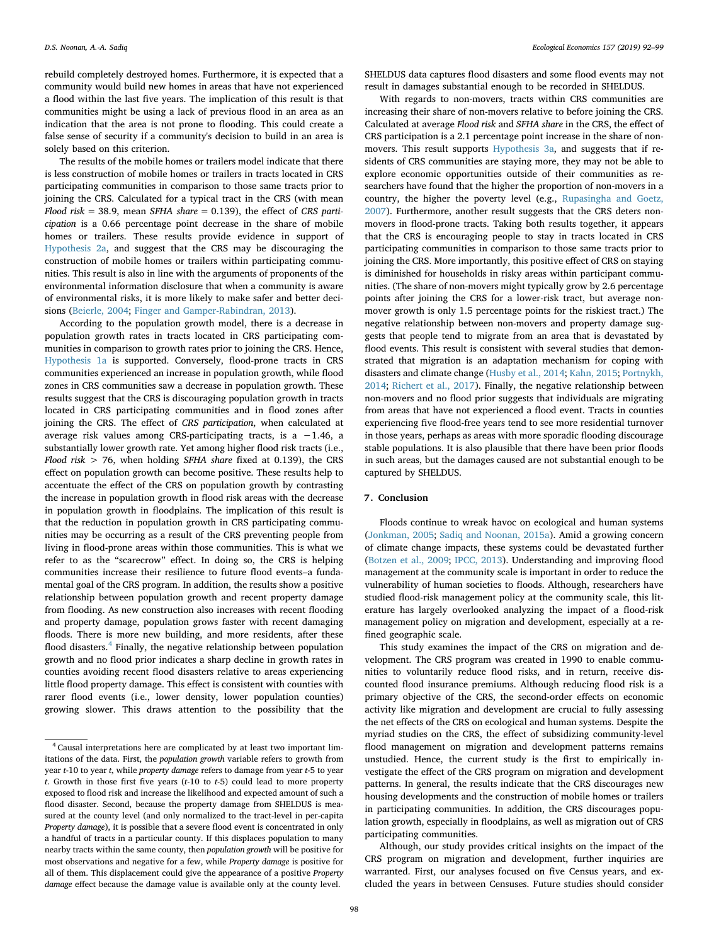rebuild completely destroyed homes. Furthermore, it is expected that a community would build new homes in areas that have not experienced a flood within the last five years. The implication of this result is that communities might be using a lack of previous flood in an area as an indication that the area is not prone to flooding. This could create a false sense of security if a community's decision to build in an area is solely based on this criterion.

The results of the mobile homes or trailers model indicate that there is less construction of mobile homes or trailers in tracts located in CRS participating communities in comparison to those same tracts prior to joining the CRS. Calculated for a typical tract in the CRS (with mean Flood risk = 38.9, mean SFHA share = 0.139), the effect of CRS participation is a 0.66 percentage point decrease in the share of mobile homes or trailers. These results provide evidence in support of [Hypothesis 2a](#page-2-1), and suggest that the CRS may be discouraging the construction of mobile homes or trailers within participating communities. This result is also in line with the arguments of proponents of the environmental information disclosure that when a community is aware of environmental risks, it is more likely to make safer and better decisions ([Beierle, 2004](#page-7-41); [Finger and Gamper-Rabindran, 2013\)](#page-7-42).

According to the population growth model, there is a decrease in population growth rates in tracts located in CRS participating communities in comparison to growth rates prior to joining the CRS. Hence, [Hypothesis 1a](#page-2-0) is supported. Conversely, flood-prone tracts in CRS communities experienced an increase in population growth, while flood zones in CRS communities saw a decrease in population growth. These results suggest that the CRS is discouraging population growth in tracts located in CRS participating communities and in flood zones after joining the CRS. The effect of CRS participation, when calculated at average risk values among CRS-participating tracts, is a −1.46, a substantially lower growth rate. Yet among higher flood risk tracts (i.e., Flood risk  $> 76$ , when holding SFHA share fixed at 0.139), the CRS effect on population growth can become positive. These results help to accentuate the effect of the CRS on population growth by contrasting the increase in population growth in flood risk areas with the decrease in population growth in floodplains. The implication of this result is that the reduction in population growth in CRS participating communities may be occurring as a result of the CRS preventing people from living in flood-prone areas within those communities. This is what we refer to as the "scarecrow" effect. In doing so, the CRS is helping communities increase their resilience to future flood events–a fundamental goal of the CRS program. In addition, the results show a positive relationship between population growth and recent property damage from flooding. As new construction also increases with recent flooding and property damage, population grows faster with recent damaging floods. There is more new building, and more residents, after these flood disasters.<sup>[4](#page-6-0)</sup> Finally, the negative relationship between population growth and no flood prior indicates a sharp decline in growth rates in counties avoiding recent flood disasters relative to areas experiencing little flood property damage. This effect is consistent with counties with rarer flood events (i.e., lower density, lower population counties) growing slower. This draws attention to the possibility that the SHELDUS data captures flood disasters and some flood events may not result in damages substantial enough to be recorded in SHELDUS.

With regards to non-movers, tracts within CRS communities are increasing their share of non-movers relative to before joining the CRS. Calculated at average Flood risk and SFHA share in the CRS, the effect of CRS participation is a 2.1 percentage point increase in the share of nonmovers. This result supports [Hypothesis 3a,](#page-2-2) and suggests that if residents of CRS communities are staying more, they may not be able to explore economic opportunities outside of their communities as researchers have found that the higher the proportion of non-movers in a country, the higher the poverty level (e.g., [Rupasingha and Goetz,](#page-7-48) [2007\)](#page-7-48). Furthermore, another result suggests that the CRS deters nonmovers in flood-prone tracts. Taking both results together, it appears that the CRS is encouraging people to stay in tracts located in CRS participating communities in comparison to those same tracts prior to joining the CRS. More importantly, this positive effect of CRS on staying is diminished for households in risky areas within participant communities. (The share of non-movers might typically grow by 2.6 percentage points after joining the CRS for a lower-risk tract, but average nonmover growth is only 1.5 percentage points for the riskiest tract.) The negative relationship between non-movers and property damage suggests that people tend to migrate from an area that is devastated by flood events. This result is consistent with several studies that demonstrated that migration is an adaptation mechanism for coping with disasters and climate change [\(Husby et al., 2014;](#page-7-38) [Kahn, 2015;](#page-7-49) [Portnykh,](#page-7-35) [2014;](#page-7-35) [Richert et al., 2017](#page-7-50)). Finally, the negative relationship between non-movers and no flood prior suggests that individuals are migrating from areas that have not experienced a flood event. Tracts in counties experiencing five flood-free years tend to see more residential turnover in those years, perhaps as areas with more sporadic flooding discourage stable populations. It is also plausible that there have been prior floods in such areas, but the damages caused are not substantial enough to be captured by SHELDUS.

## 7. Conclusion

Floods continue to wreak havoc on ecological and human systems ([Jonkman, 2005;](#page-7-0) [Sadiq and Noonan, 2015a\)](#page-7-1). Amid a growing concern of climate change impacts, these systems could be devastated further ([Botzen et al., 2009](#page-7-4); [IPCC, 2013](#page-7-3)). Understanding and improving flood management at the community scale is important in order to reduce the vulnerability of human societies to floods. Although, researchers have studied flood-risk management policy at the community scale, this literature has largely overlooked analyzing the impact of a flood-risk management policy on migration and development, especially at a refined geographic scale.

This study examines the impact of the CRS on migration and development. The CRS program was created in 1990 to enable communities to voluntarily reduce flood risks, and in return, receive discounted flood insurance premiums. Although reducing flood risk is a primary objective of the CRS, the second-order effects on economic activity like migration and development are crucial to fully assessing the net effects of the CRS on ecological and human systems. Despite the myriad studies on the CRS, the effect of subsidizing community-level flood management on migration and development patterns remains unstudied. Hence, the current study is the first to empirically investigate the effect of the CRS program on migration and development patterns. In general, the results indicate that the CRS discourages new housing developments and the construction of mobile homes or trailers in participating communities. In addition, the CRS discourages population growth, especially in floodplains, as well as migration out of CRS participating communities.

Although, our study provides critical insights on the impact of the CRS program on migration and development, further inquiries are warranted. First, our analyses focused on five Census years, and excluded the years in between Censuses. Future studies should consider

<span id="page-6-0"></span><sup>4</sup> Causal interpretations here are complicated by at least two important limitations of the data. First, the population growth variable refers to growth from year t-10 to year t, while property damage refers to damage from year t-5 to year t. Growth in those first five years  $(t-10$  to  $t-5)$  could lead to more property exposed to flood risk and increase the likelihood and expected amount of such a flood disaster. Second, because the property damage from SHELDUS is measured at the county level (and only normalized to the tract-level in per-capita Property damage), it is possible that a severe flood event is concentrated in only a handful of tracts in a particular county. If this displaces population to many nearby tracts within the same county, then population growth will be positive for most observations and negative for a few, while Property damage is positive for all of them. This displacement could give the appearance of a positive Property damage effect because the damage value is available only at the county level.